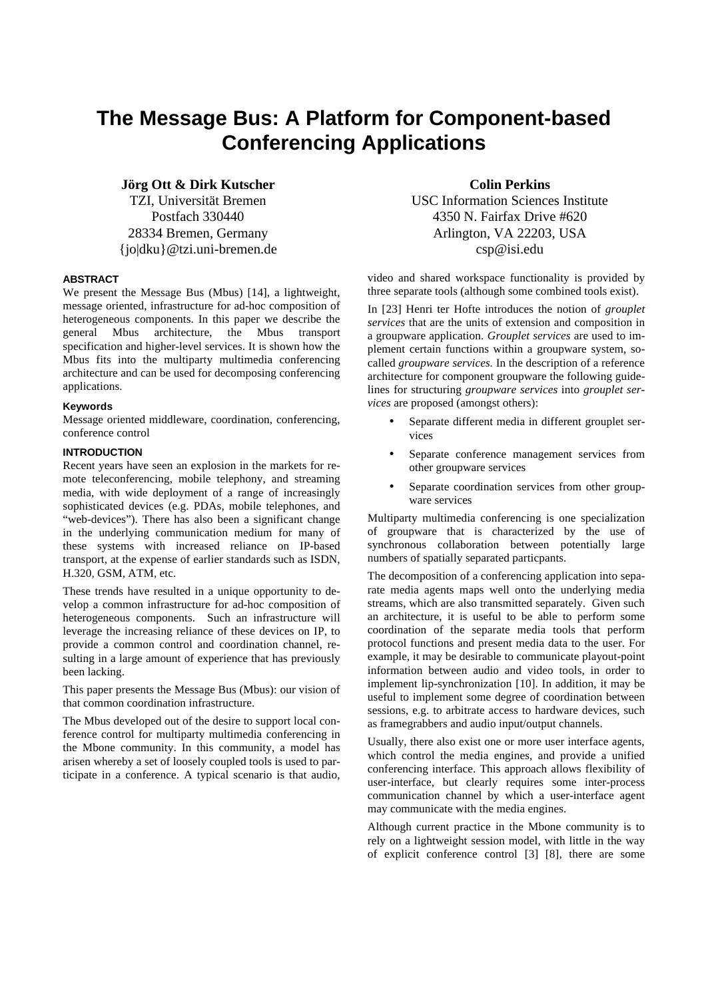# **The Message Bus: A Platform for Component-based Conferencing Applications**

**Jörg Ott & Dirk Kutscher**

TZI, Universität Bremen Postfach 330440 28334 Bremen, Germany {jo|dku}@tzi.uni-bremen.de

# **ABSTRACT**

We present the Message Bus (Mbus) [14], a lightweight, message oriented, infrastructure for ad-hoc composition of heterogeneous components. In this paper we describe the general Mbus architecture, the Mbus transport specification and higher-level services. It is shown how the Mbus fits into the multiparty multimedia conferencing architecture and can be used for decomposing conferencing applications.

# **Keywords**

Message oriented middleware, coordination, conferencing, conference control

# **INTRODUCTION**

Recent years have seen an explosion in the markets for remote teleconferencing, mobile telephony, and streaming media, with wide deployment of a range of increasingly sophisticated devices (e.g. PDAs, mobile telephones, and "web-devices"). There has also been a significant change in the underlying communication medium for many of these systems with increased reliance on IP-based transport, at the expense of earlier standards such as ISDN, H.320, GSM, ATM, etc.

These trends have resulted in a unique opportunity to develop a common infrastructure for ad-hoc composition of heterogeneous components. Such an infrastructure will leverage the increasing reliance of these devices on IP, to provide a common control and coordination channel, resulting in a large amount of experience that has previously been lacking.

This paper presents the Message Bus (Mbus): our vision of that common coordination infrastructure.

The Mbus developed out of the desire to support local conference control for multiparty multimedia conferencing in the Mbone community. In this community, a model has arisen whereby a set of loosely coupled tools is used to participate in a conference. A typical scenario is that audio,

**Colin Perkins** USC Information Sciences Institute 4350 N. Fairfax Drive #620 Arlington, VA 22203, USA csp@isi.edu

video and shared workspace functionality is provided by three separate tools (although some combined tools exist).

In [23] Henri ter Hofte introduces the notion of *grouplet services* that are the units of extension and composition in a groupware application. *Grouplet services* are used to implement certain functions within a groupware system, socalled *groupware services.* In the description of a reference architecture for component groupware the following guidelines for structuring *groupware services* into *grouplet services* are proposed (amongst others):

- Separate different media in different grouplet services
- Separate conference management services from other groupware services
- Separate coordination services from other groupware services

Multiparty multimedia conferencing is one specialization of groupware that is characterized by the use of synchronous collaboration between potentially large numbers of spatially separated particpants.

The decomposition of a conferencing application into separate media agents maps well onto the underlying media streams, which are also transmitted separately. Given such an architecture, it is useful to be able to perform some coordination of the separate media tools that perform protocol functions and present media data to the user. For example, it may be desirable to communicate playout-point information between audio and video tools, in order to implement lip-synchronization [10]. In addition, it may be useful to implement some degree of coordination between sessions, e.g. to arbitrate access to hardware devices, such as framegrabbers and audio input/output channels.

Usually, there also exist one or more user interface agents, which control the media engines, and provide a unified conferencing interface. This approach allows flexibility of user-interface, but clearly requires some inter-process communication channel by which a user-interface agent may communicate with the media engines.

Although current practice in the Mbone community is to rely on a lightweight session model, with little in the way of explicit conference control [3] [8], there are some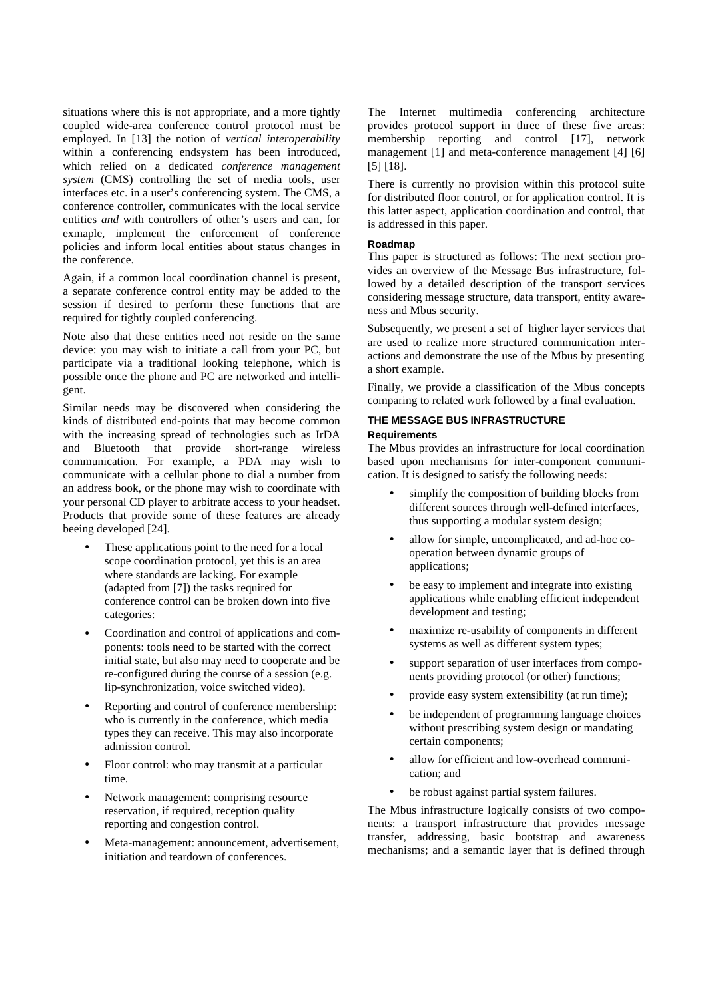situations where this is not appropriate, and a more tightly coupled wide-area conference control protocol must be employed. In [13] the notion of *vertical interoperability* within a conferencing endsystem has been introduced, which relied on a dedicated *conference management system* (CMS) controlling the set of media tools, user interfaces etc. in a user's conferencing system. The CMS, a conference controller, communicates with the local service entities *and* with controllers of other's users and can, for exmaple, implement the enforcement of conference policies and inform local entities about status changes in the conference.

Again, if a common local coordination channel is present, a separate conference control entity may be added to the session if desired to perform these functions that are required for tightly coupled conferencing.

Note also that these entities need not reside on the same device: you may wish to initiate a call from your PC, but participate via a traditional looking telephone, which is possible once the phone and PC are networked and intelligent.

Similar needs may be discovered when considering the kinds of distributed end-points that may become common with the increasing spread of technologies such as IrDA and Bluetooth that provide short-range wireless communication. For example, a PDA may wish to communicate with a cellular phone to dial a number from an address book, or the phone may wish to coordinate with your personal CD player to arbitrate access to your headset. Products that provide some of these features are already beeing developed [24].

- These applications point to the need for a local scope coordination protocol, yet this is an area where standards are lacking. For example (adapted from [7]) the tasks required for conference control can be broken down into five categories:
- Coordination and control of applications and components: tools need to be started with the correct initial state, but also may need to cooperate and be re-configured during the course of a session (e.g. lip-synchronization, voice switched video).
- Reporting and control of conference membership: who is currently in the conference, which media types they can receive. This may also incorporate admission control.
- Floor control: who may transmit at a particular time.
- Network management: comprising resource reservation, if required, reception quality reporting and congestion control.
- Meta-management: announcement, advertisement, initiation and teardown of conferences.

The Internet multimedia conferencing architecture provides protocol support in three of these five areas: membership reporting and control [17], network management [1] and meta-conference management [4] [6] [5] [18].

There is currently no provision within this protocol suite for distributed floor control, or for application control. It is this latter aspect, application coordination and control, that is addressed in this paper.

# **Roadmap**

This paper is structured as follows: The next section provides an overview of the Message Bus infrastructure, followed by a detailed description of the transport services considering message structure, data transport, entity awareness and Mbus security.

Subsequently, we present a set of higher layer services that are used to realize more structured communication interactions and demonstrate the use of the Mbus by presenting a short example.

Finally, we provide a classification of the Mbus concepts comparing to related work followed by a final evaluation.

# **THE MESSAGE BUS INFRASTRUCTURE**

# **Requirements**

The Mbus provides an infrastructure for local coordination based upon mechanisms for inter-component communication. It is designed to satisfy the following needs:

- simplify the composition of building blocks from different sources through well-defined interfaces, thus supporting a modular system design;
- allow for simple, uncomplicated, and ad-hoc cooperation between dynamic groups of applications:
- be easy to implement and integrate into existing applications while enabling efficient independent development and testing;
- maximize re-usability of components in different systems as well as different system types;
- support separation of user interfaces from components providing protocol (or other) functions;
- provide easy system extensibility (at run time);
- be independent of programming language choices without prescribing system design or mandating certain components;
- allow for efficient and low-overhead communication; and
- be robust against partial system failures.

The Mbus infrastructure logically consists of two components: a transport infrastructure that provides message transfer, addressing, basic bootstrap and awareness mechanisms; and a semantic layer that is defined through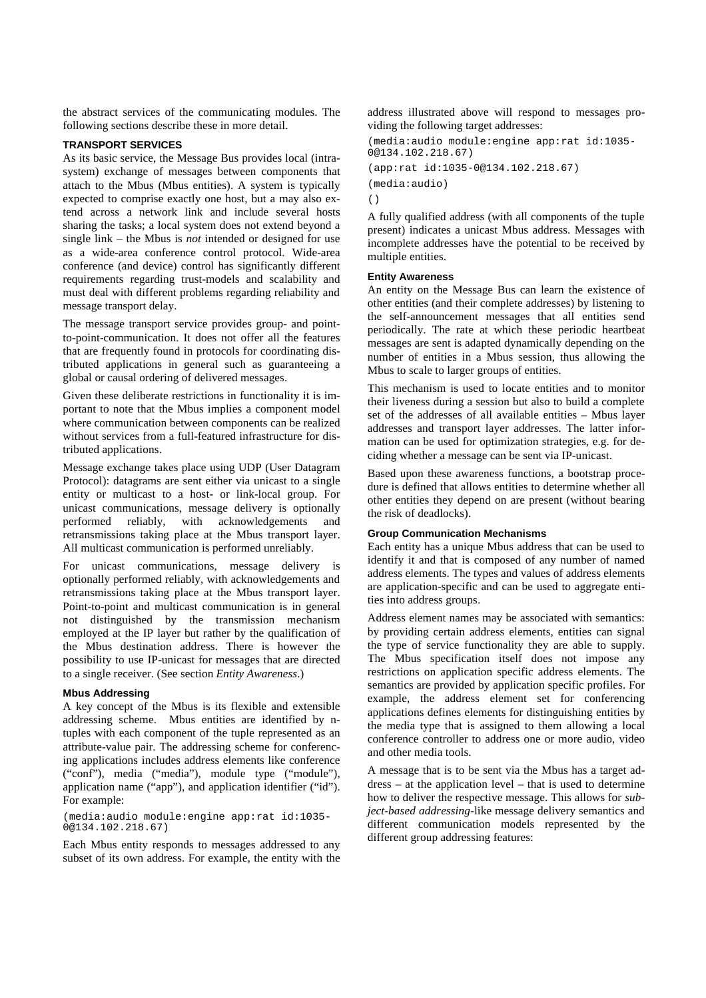the abstract services of the communicating modules. The following sections describe these in more detail.

#### **TRANSPORT SERVICES**

As its basic service, the Message Bus provides local (intrasystem) exchange of messages between components that attach to the Mbus (Mbus entities). A system is typically expected to comprise exactly one host, but a may also extend across a network link and include several hosts sharing the tasks; a local system does not extend beyond a single link – the Mbus is *not* intended or designed for use as a wide-area conference control protocol. Wide-area conference (and device) control has significantly different requirements regarding trust-models and scalability and must deal with different problems regarding reliability and message transport delay.

The message transport service provides group- and pointto-point-communication. It does not offer all the features that are frequently found in protocols for coordinating distributed applications in general such as guaranteeing a global or causal ordering of delivered messages.

Given these deliberate restrictions in functionality it is important to note that the Mbus implies a component model where communication between components can be realized without services from a full-featured infrastructure for distributed applications.

Message exchange takes place using UDP (User Datagram Protocol): datagrams are sent either via unicast to a single entity or multicast to a host- or link-local group. For unicast communications, message delivery is optionally performed reliably, with acknowledgements and retransmissions taking place at the Mbus transport layer. All multicast communication is performed unreliably.

For unicast communications, message delivery is optionally performed reliably, with acknowledgements and retransmissions taking place at the Mbus transport layer. Point-to-point and multicast communication is in general not distinguished by the transmission mechanism employed at the IP layer but rather by the qualification of the Mbus destination address. There is however the possibility to use IP-unicast for messages that are directed to a single receiver. (See section *Entity Awareness*.)

# **Mbus Addressing**

A key concept of the Mbus is its flexible and extensible addressing scheme. Mbus entities are identified by ntuples with each component of the tuple represented as an attribute-value pair. The addressing scheme for conferencing applications includes address elements like conference ("conf"), media ("media"), module type ("module"), application name ("app"), and application identifier ("id"). For example:

(media:audio module:engine app:rat id:1035- 0@134.102.218.67)

Each Mbus entity responds to messages addressed to any subset of its own address. For example, the entity with the address illustrated above will respond to messages providing the following target addresses:

```
(media:audio module:engine app:rat id:1035-
0@134.102.218.67)
(app:rat id:1035-0@134.102.218.67)
(media:audio)
()
```
A fully qualified address (with all components of the tuple present) indicates a unicast Mbus address. Messages with incomplete addresses have the potential to be received by multiple entities.

#### **Entity Awareness**

An entity on the Message Bus can learn the existence of other entities (and their complete addresses) by listening to the self-announcement messages that all entities send periodically. The rate at which these periodic heartbeat messages are sent is adapted dynamically depending on the number of entities in a Mbus session, thus allowing the Mbus to scale to larger groups of entities.

This mechanism is used to locate entities and to monitor their liveness during a session but also to build a complete set of the addresses of all available entities – Mbus layer addresses and transport layer addresses. The latter information can be used for optimization strategies, e.g. for deciding whether a message can be sent via IP-unicast.

Based upon these awareness functions, a bootstrap procedure is defined that allows entities to determine whether all other entities they depend on are present (without bearing the risk of deadlocks).

#### **Group Communication Mechanisms**

Each entity has a unique Mbus address that can be used to identify it and that is composed of any number of named address elements. The types and values of address elements are application-specific and can be used to aggregate entities into address groups.

Address element names may be associated with semantics: by providing certain address elements, entities can signal the type of service functionality they are able to supply. The Mbus specification itself does not impose any restrictions on application specific address elements. The semantics are provided by application specific profiles. For example, the address element set for conferencing applications defines elements for distinguishing entities by the media type that is assigned to them allowing a local conference controller to address one or more audio, video and other media tools.

A message that is to be sent via the Mbus has a target address – at the application level – that is used to determine how to deliver the respective message. This allows for *subject-based addressing-*like message delivery semantics and different communication models represented by the different group addressing features: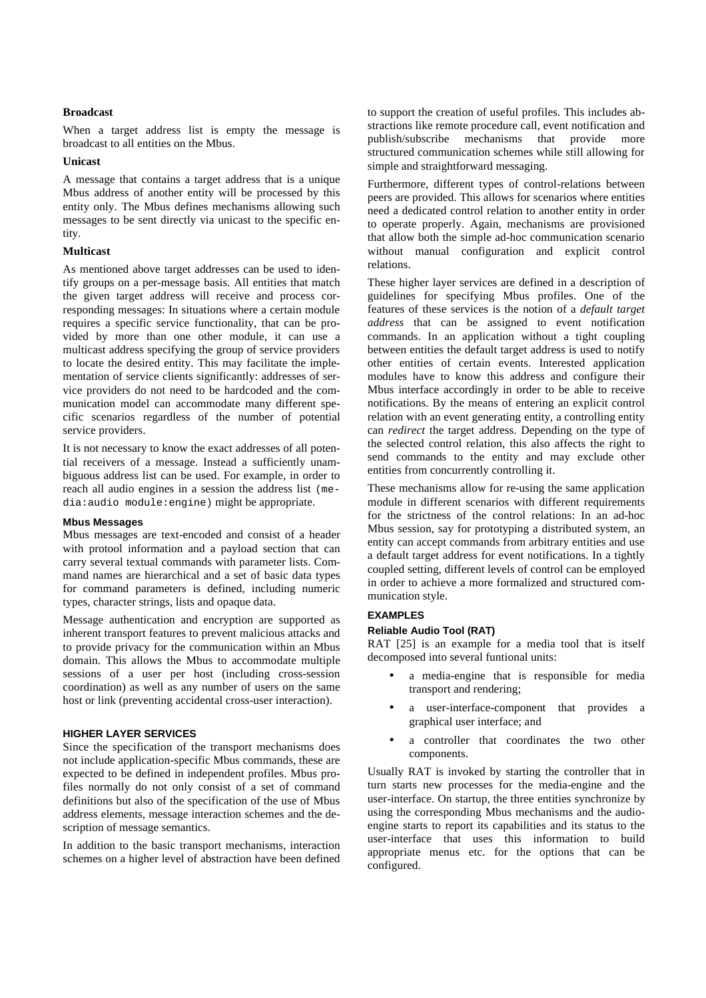# **Broadcast**

When a target address list is empty the message is broadcast to all entities on the Mbus.

#### **Unicast**

A message that contains a target address that is a unique Mbus address of another entity will be processed by this entity only. The Mbus defines mechanisms allowing such messages to be sent directly via unicast to the specific entity.

#### **Multicast**

As mentioned above target addresses can be used to identify groups on a per-message basis. All entities that match the given target address will receive and process corresponding messages: In situations where a certain module requires a specific service functionality, that can be provided by more than one other module, it can use a multicast address specifying the group of service providers to locate the desired entity. This may facilitate the implementation of service clients significantly: addresses of service providers do not need to be hardcoded and the communication model can accommodate many different specific scenarios regardless of the number of potential service providers.

It is not necessary to know the exact addresses of all potential receivers of a message. Instead a sufficiently unambiguous address list can be used. For example, in order to reach all audio engines in a session the address list (media:audio module:engine) might be appropriate.

#### **Mbus Messages**

Mbus messages are text-encoded and consist of a header with protool information and a payload section that can carry several textual commands with parameter lists. Command names are hierarchical and a set of basic data types for command parameters is defined, including numeric types, character strings, lists and opaque data.

Message authentication and encryption are supported as inherent transport features to prevent malicious attacks and to provide privacy for the communication within an Mbus domain. This allows the Mbus to accommodate multiple sessions of a user per host (including cross-session coordination) as well as any number of users on the same host or link (preventing accidental cross-user interaction).

# **HIGHER LAYER SERVICES**

Since the specification of the transport mechanisms does not include application-specific Mbus commands, these are expected to be defined in independent profiles. Mbus profiles normally do not only consist of a set of command definitions but also of the specification of the use of Mbus address elements, message interaction schemes and the description of message semantics.

In addition to the basic transport mechanisms, interaction schemes on a higher level of abstraction have been defined

to support the creation of useful profiles. This includes abstractions like remote procedure call, event notification and publish/subscribe mechanisms that provide more structured communication schemes while still allowing for simple and straightforward messaging.

Furthermore, different types of control-relations between peers are provided. This allows for scenarios where entities need a dedicated control relation to another entity in order to operate properly. Again, mechanisms are provisioned that allow both the simple ad-hoc communication scenario without manual configuration and explicit control relations.

These higher layer services are defined in a description of guidelines for specifying Mbus profiles. One of the features of these services is the notion of a *default target address* that can be assigned to event notification commands. In an application without a tight coupling between entities the default target address is used to notify other entities of certain events. Interested application modules have to know this address and configure their Mbus interface accordingly in order to be able to receive notifications. By the means of entering an explicit control relation with an event generating entity, a controlling entity can *redirect* the target address. Depending on the type of the selected control relation, this also affects the right to send commands to the entity and may exclude other entities from concurrently controlling it.

These mechanisms allow for re-using the same application module in different scenarios with different requirements for the strictness of the control relations: In an ad-hoc Mbus session, say for prototyping a distributed system, an entity can accept commands from arbitrary entities and use a default target address for event notifications. In a tightly coupled setting, different levels of control can be employed in order to achieve a more formalized and structured communication style.

# **EXAMPLES**

# **Reliable Audio Tool (RAT)**

RAT [25] is an example for a media tool that is itself decomposed into several funtional units:

- a media-engine that is responsible for media transport and rendering;
- a user-interface-component that provides a graphical user interface; and
- a controller that coordinates the two other components.

Usually RAT is invoked by starting the controller that in turn starts new processes for the media-engine and the user-interface. On startup, the three entities synchronize by using the corresponding Mbus mechanisms and the audioengine starts to report its capabilities and its status to the user-interface that uses this information to build appropriate menus etc. for the options that can be configured.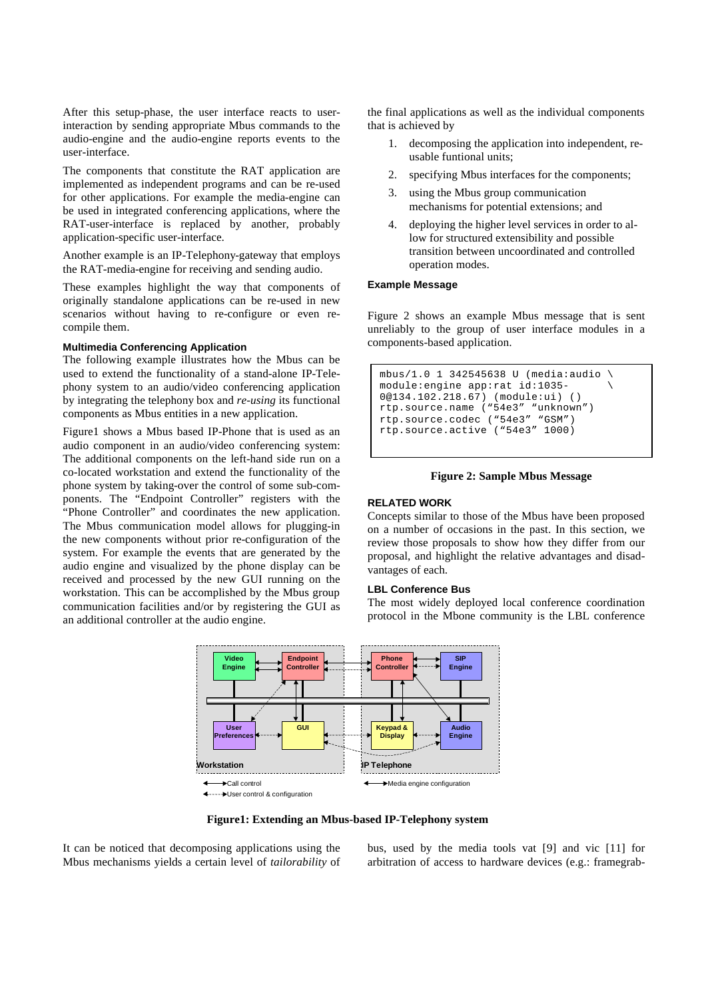After this setup-phase, the user interface reacts to userinteraction by sending appropriate Mbus commands to the audio-engine and the audio-engine reports events to the user-interface.

The components that constitute the RAT application are implemented as independent programs and can be re-used for other applications. For example the media-engine can be used in integrated conferencing applications, where the RAT-user-interface is replaced by another, probably application-specific user-interface.

Another example is an IP-Telephony-gateway that employs the RAT-media-engine for receiving and sending audio.

These examples highlight the way that components of originally standalone applications can be re-used in new scenarios without having to re-configure or even recompile them.

# **Multimedia Conferencing Application**

The following example illustrates how the Mbus can be used to extend the functionality of a stand-alone IP-Telephony system to an audio/video conferencing application by integrating the telephony box and *re-using* its functional components as Mbus entities in a new application.

Figure1 shows a Mbus based IP-Phone that is used as an audio component in an audio/video conferencing system: The additional components on the left-hand side run on a co-located workstation and extend the functionality of the phone system by taking-over the control of some sub-components. The "Endpoint Controller" registers with the "Phone Controller" and coordinates the new application. The Mbus communication model allows for plugging-in the new components without prior re-configuration of the system. For example the events that are generated by the audio engine and visualized by the phone display can be received and processed by the new GUI running on the workstation. This can be accomplished by the Mbus group communication facilities and/or by registering the GUI as an additional controller at the audio engine.

the final applications as well as the individual components that is achieved by

- 1. decomposing the application into independent, reusable funtional units;
- 2. specifying Mbus interfaces for the components;
- 3. using the Mbus group communication mechanisms for potential extensions; and
- 4. deploying the higher level services in order to allow for structured extensibility and possible transition between uncoordinated and controlled operation modes.

#### **Example Message**

Figure 2 shows an example Mbus message that is sent unreliably to the group of user interface modules in a components-based application.

```
mbus/1.0 1 342545638 U (media:audio \
module:engine app:rat id:1035- \
0@134.102.218.67) (module:ui) ()
rtp.source.name ("54e3" "unknown")
rtp.source.codec ("54e3" "GSM") 
rtp.source.active ("54e3" 1000)
```
#### **Figure 2: Sample Mbus Message**

### **RELATED WORK**

Concepts similar to those of the Mbus have been proposed on a number of occasions in the past. In this section, we review those proposals to show how they differ from our proposal, and highlight the relative advantages and disadvantages of each.

# **LBL Conference Bus**

The most widely deployed local conference coordination protocol in the Mbone community is the LBL conference





It can be noticed that decomposing applications using the Mbus mechanisms yields a certain level of *tailorability* of bus, used by the media tools vat [9] and vic [11] for arbitration of access to hardware devices (e.g.: framegrab-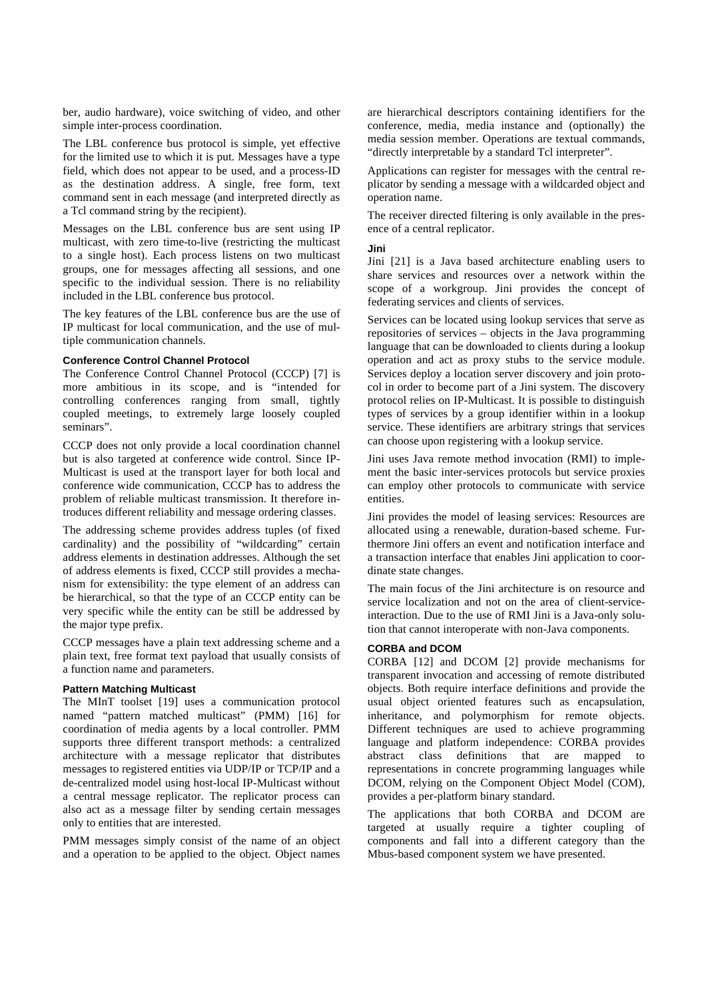ber, audio hardware), voice switching of video, and other simple inter-process coordination.

The LBL conference bus protocol is simple, yet effective for the limited use to which it is put. Messages have a type field, which does not appear to be used, and a process-ID as the destination address. A single, free form, text command sent in each message (and interpreted directly as a Tcl command string by the recipient).

Messages on the LBL conference bus are sent using IP multicast, with zero time-to-live (restricting the multicast to a single host). Each process listens on two multicast groups, one for messages affecting all sessions, and one specific to the individual session. There is no reliability included in the LBL conference bus protocol.

The key features of the LBL conference bus are the use of IP multicast for local communication, and the use of multiple communication channels.

### **Conference Control Channel Protocol**

The Conference Control Channel Protocol (CCCP) [7] is more ambitious in its scope, and is "intended for controlling conferences ranging from small, tightly coupled meetings, to extremely large loosely coupled seminars".

CCCP does not only provide a local coordination channel but is also targeted at conference wide control. Since IP-Multicast is used at the transport layer for both local and conference wide communication, CCCP has to address the problem of reliable multicast transmission. It therefore introduces different reliability and message ordering classes.

The addressing scheme provides address tuples (of fixed cardinality) and the possibility of "wildcarding" certain address elements in destination addresses. Although the set of address elements is fixed, CCCP still provides a mechanism for extensibility: the type element of an address can be hierarchical, so that the type of an CCCP entity can be very specific while the entity can be still be addressed by the major type prefix.

CCCP messages have a plain text addressing scheme and a plain text, free format text payload that usually consists of a function name and parameters.

#### **Pattern Matching Multicast**

The MInT toolset [19] uses a communication protocol named "pattern matched multicast" (PMM) [16] for coordination of media agents by a local controller. PMM supports three different transport methods: a centralized architecture with a message replicator that distributes messages to registered entities via UDP/IP or TCP/IP and a de-centralized model using host-local IP-Multicast without a central message replicator. The replicator process can also act as a message filter by sending certain messages only to entities that are interested.

PMM messages simply consist of the name of an object and a operation to be applied to the object. Object names are hierarchical descriptors containing identifiers for the conference, media, media instance and (optionally) the media session member. Operations are textual commands, "directly interpretable by a standard Tcl interpreter".

Applications can register for messages with the central replicator by sending a message with a wildcarded object and operation name.

The receiver directed filtering is only available in the presence of a central replicator.

#### **Jini**

Jini [21] is a Java based architecture enabling users to share services and resources over a network within the scope of a workgroup. Jini provides the concept of federating services and clients of services.

Services can be located using lookup services that serve as repositories of services – objects in the Java programming language that can be downloaded to clients during a lookup operation and act as proxy stubs to the service module. Services deploy a location server discovery and join protocol in order to become part of a Jini system. The discovery protocol relies on IP-Multicast. It is possible to distinguish types of services by a group identifier within in a lookup service. These identifiers are arbitrary strings that services can choose upon registering with a lookup service.

Jini uses Java remote method invocation (RMI) to implement the basic inter-services protocols but service proxies can employ other protocols to communicate with service entities.

Jini provides the model of leasing services: Resources are allocated using a renewable, duration-based scheme. Furthermore Jini offers an event and notification interface and a transaction interface that enables Jini application to coordinate state changes.

The main focus of the Jini architecture is on resource and service localization and not on the area of client-serviceinteraction. Due to the use of RMI Jini is a Java-only solution that cannot interoperate with non-Java components.

#### **CORBA and DCOM**

CORBA [12] and DCOM [2] provide mechanisms for transparent invocation and accessing of remote distributed objects. Both require interface definitions and provide the usual object oriented features such as encapsulation, inheritance, and polymorphism for remote objects. Different techniques are used to achieve programming language and platform independence: CORBA provides abstract class definitions that are mapped to representations in concrete programming languages while DCOM, relying on the Component Object Model (COM), provides a per-platform binary standard.

The applications that both CORBA and DCOM are targeted at usually require a tighter coupling of components and fall into a different category than the Mbus-based component system we have presented.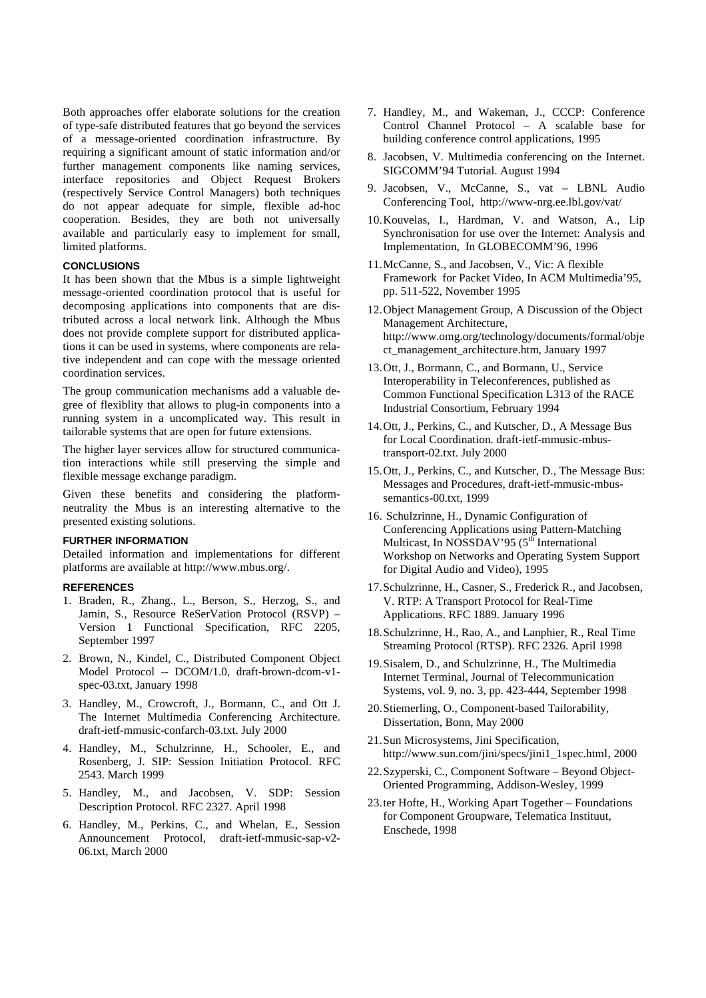Both approaches offer elaborate solutions for the creation of type-safe distributed features that go beyond the services of a message-oriented coordination infrastructure. By requiring a significant amount of static information and/or further management components like naming services, interface repositories and Object Request Brokers (respectively Service Control Managers) both techniques do not appear adequate for simple, flexible ad-hoc cooperation. Besides, they are both not universally available and particularly easy to implement for small, limited platforms.

# **CONCLUSIONS**

It has been shown that the Mbus is a simple lightweight message-oriented coordination protocol that is useful for decomposing applications into components that are distributed across a local network link. Although the Mbus does not provide complete support for distributed applications it can be used in systems, where components are relative independent and can cope with the message oriented coordination services.

The group communication mechanisms add a valuable degree of flexiblity that allows to plug-in components into a running system in a uncomplicated way. This result in tailorable systems that are open for future extensions.

The higher layer services allow for structured communication interactions while still preserving the simple and flexible message exchange paradigm.

Given these benefits and considering the platformneutrality the Mbus is an interesting alternative to the presented existing solutions.

#### **FURTHER INFORMATION**

Detailed information and implementations for different platforms are available at http://www.mbus.org/.

#### **REFERENCES**

- 1. Braden, R., Zhang., L., Berson, S., Herzog, S., and Jamin, S., Resource ReSerVation Protocol (RSVP) – Version 1 Functional Specification, RFC 2205, September 1997
- 2. Brown, N., Kindel, C., Distributed Component Object Model Protocol -- DCOM/1.0, draft-brown-dcom-v1 spec-03.txt, January 1998
- 3. Handley, M., Crowcroft, J., Bormann, C., and Ott J. The Internet Multimedia Conferencing Architecture. draft-ietf-mmusic-confarch-03.txt. July 2000
- 4. Handley, M., Schulzrinne, H., Schooler, E., and Rosenberg, J. SIP: Session Initiation Protocol. RFC 2543. March 1999
- 5. Handley, M., and Jacobsen, V. SDP: Session Description Protocol. RFC 2327. April 1998
- 6. Handley, M., Perkins, C., and Whelan, E., Session Announcement Protocol, draft-ietf-mmusic-sap-v2- 06.txt, March 2000
- 7. Handley, M., and Wakeman, J., CCCP: Conference Control Channel Protocol – A scalable base for building conference control applications, 1995
- 8. Jacobsen, V. Multimedia conferencing on the Internet. SIGCOMM'94 Tutorial. August 1994
- 9. Jacobsen, V., McCanne, S., vat LBNL Audio Conferencing Tool, http://www-nrg.ee.lbl.gov/vat/
- 10.Kouvelas, I., Hardman, V. and Watson, A., Lip Synchronisation for use over the Internet: Analysis and Implementation, In GLOBECOMM'96, 1996
- 11.McCanne, S., and Jacobsen, V., Vic: A flexible Framework for Packet Video, In ACM Multimedia'95, pp. 511-522, November 1995
- 12.Object Management Group, A Discussion of the Object Management Architecture, http://www.omg.org/technology/documents/formal/obje ct\_management\_architecture.htm, January 1997
- 13.Ott, J., Bormann, C., and Bormann, U., Service Interoperability in Teleconferences, published as Common Functional Specification L313 of the RACE Industrial Consortium, February 1994
- 14.Ott, J., Perkins, C., and Kutscher, D., A Message Bus for Local Coordination. draft-ietf-mmusic-mbustransport-02.txt. July 2000
- 15.Ott, J., Perkins, C., and Kutscher, D., The Message Bus: Messages and Procedures, draft-ietf-mmusic-mbussemantics-00.txt, 1999
- 16. Schulzrinne, H., Dynamic Configuration of Conferencing Applications using Pattern-Matching Multicast, In NOSSDAV'95  $(5<sup>th</sup> International)$ Workshop on Networks and Operating System Support for Digital Audio and Video), 1995
- 17.Schulzrinne, H., Casner, S., Frederick R., and Jacobsen, V. RTP: A Transport Protocol for Real-Time Applications. RFC 1889. January 1996
- 18.Schulzrinne, H., Rao, A., and Lanphier, R., Real Time Streaming Protocol (RTSP). RFC 2326. April 1998
- 19.Sisalem, D., and Schulzrinne, H., The Multimedia Internet Terminal, Journal of Telecommunication Systems, vol. 9, no. 3, pp. 423-444, September 1998
- 20.Stiemerling, O., Component-based Tailorability, Dissertation, Bonn, May 2000
- 21.Sun Microsystems, Jini Specification, http://www.sun.com/jini/specs/jini1\_1spec.html, 2000
- 22.Szyperski, C., Component Software Beyond Object-Oriented Programming, Addison-Wesley, 1999
- 23.ter Hofte, H., Working Apart Together Foundations for Component Groupware, Telematica Instituut, Enschede, 1998